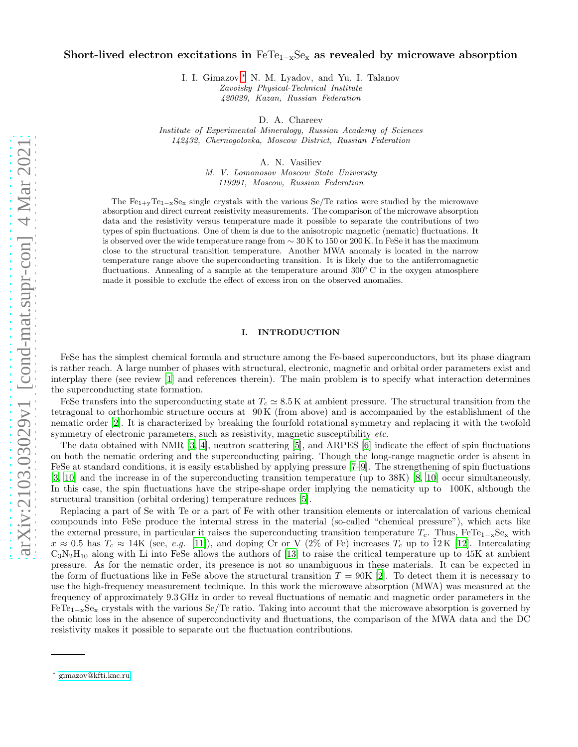## Short-lived electron excitations in  $Fer_{1-x}Se_x$  as revealed by microwave absorption

I. I. Gimazov,[∗](#page-0-0) N. M. Lyadov, and Yu. I. Talanov Zavoisky Physical-Technical Institute 420029, Kazan, Russian Federation

D. A. Chareev

Institute of Experimental Mineralogy, Russian Academy of Sciences 142432, Chernogolovka, Moscow District, Russian Federation

A. N. Vasiliev

M. V. Lomonosov Moscow State University 119991, Moscow, Russian Federation

The Fe<sub>1+y</sub>Te<sub>1-x</sub>Se<sub>x</sub> single crystals with the various Se/Te ratios were studied by the microwave absorption and direct current resistivity measurements. The comparison of the microwave absorption data and the resistivity versus temperature made it possible to separate the contributions of two types of spin fluctuations. One of them is due to the anisotropic magnetic (nematic) fluctuations. It is observed over the wide temperature range from  $\sim 30 \,\mathrm{K}$  to 150 or 200 K. In FeSe it has the maximum close to the structural transition temperature. Another MWA anomaly is located in the narrow temperature range above the superconducting transition. It is likely due to the antiferromagnetic fluctuations. Annealing of a sample at the temperature around 300° C in the oxygen atmosphere made it possible to exclude the effect of excess iron on the observed anomalies.

## I. INTRODUCTION

FeSe has the simplest chemical formula and structure among the Fe-based superconductors, but its phase diagram is rather reach. A large number of phases with structural, electronic, magnetic and orbital order parameters exist and interplay there (see review [\[1](#page-5-0)] and references therein). The main problem is to specify what interaction determines the superconducting state formation.

FeSe transfers into the superconducting state at  $T_c \simeq 8.5$  K at ambient pressure. The structural transition from the tetragonal to orthorhombic structure occurs at 90 K (from above) and is accompanied by the establishment of the nematic order [\[2\]](#page-5-1). It is characterized by breaking the fourfold rotational symmetry and replacing it with the twofold symmetry of electronic parameters, such as resistivity, magnetic susceptibility *etc.* 

The data obtained with NMR [\[3](#page-5-2), [4](#page-5-3)], neutron scattering [\[5\]](#page-5-4), and ARPES [\[6\]](#page-5-5) indicate the effect of spin fluctuations on both the nematic ordering and the superconducting pairing. Though the long-range magnetic order is absent in FeSe at standard conditions, it is easily established by applying pressure [\[7](#page-5-6)[–9](#page-5-7)]. The strengthening of spin fluctuations [\[3,](#page-5-2) [10](#page-5-8)] and the increase in of the superconducting transition temperature (up to 38K) [\[8](#page-5-9), [10\]](#page-5-8) occur simultaneously. In this case, the spin fluctuations have the stripe-shape order implying the nematicity up to 100K, although the structural transition (orbital ordering) temperature reduces [\[5\]](#page-5-4).

Replacing a part of Se with Te or a part of Fe with other transition elements or intercalation of various chemical compounds into FeSe produce the internal stress in the material (so-called "chemical pressure"), which acts like the external pressure, in particular it raises the superconducting transition temperature  $T_c$ . Thus, FeTe<sub>1-x</sub>Se<sub>x</sub> with  $x \approx 0.5$  has  $T_c \approx 14$ K (see, e.g. [\[11](#page-5-10)]), and doping Cr or V (2% of Fe) increases  $T_c$  up to  $12$ K [\[12\]](#page-5-11). Intercalating  $C_3N_2H_{10}$  along with Li into FeSe allows the authors of [\[13\]](#page-5-12) to raise the critical temperature up to 45K at ambient pressure. As for the nematic order, its presence is not so unambiguous in these materials. It can be expected in the form of fluctuations like in FeSe above the structural transition  $T = 90K$  [\[2\]](#page-5-1). To detect them it is necessary to use the high-frequency measurement technique. In this work the microwave absorption (MWA) was measured at the frequency of approximately 9.3 GHz in order to reveal fluctuations of nematic and magnetic order parameters in the  $FeTe<sub>1-x</sub>Se<sub>x</sub>$  crystals with the various Se/Te ratio. Taking into account that the microwave absorption is governed by the ohmic loss in the absence of superconductivity and fluctuations, the comparison of the MWA data and the DC resistivity makes it possible to separate out the fluctuation contributions.

<span id="page-0-0"></span><sup>∗</sup> [gimazov@kfti.knc.ru](mailto:gimazov@kfti.knc.ru)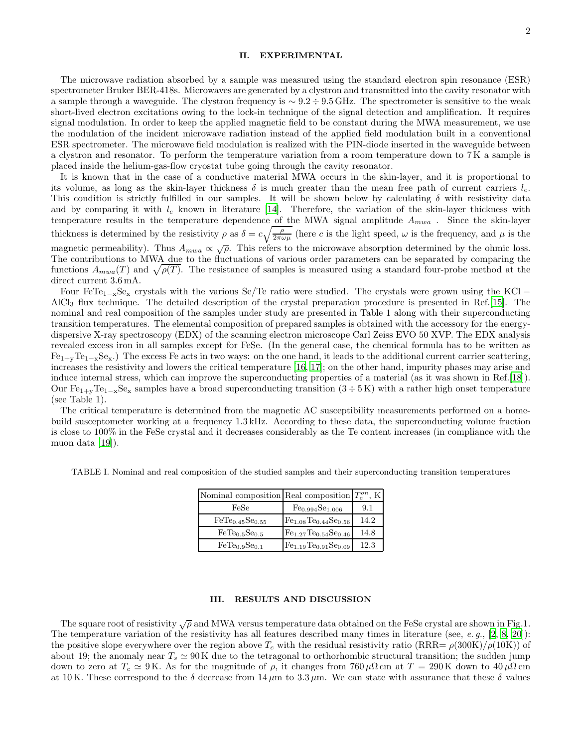## II. EXPERIMENTAL

The microwave radiation absorbed by a sample was measured using the standard electron spin resonance (ESR) spectrometer Bruker BER-418s. Microwaves are generated by a clystron and transmitted into the cavity resonator with a sample through a waveguide. The clystron frequency is ∼ 9.2 ÷ 9.5 GHz. The spectrometer is sensitive to the weak short-lived electron excitations owing to the lock-in technique of the signal detection and amplification. It requires signal modulation. In order to keep the applied magnetic field to be constant during the MWA measurement, we use the modulation of the incident microwave radiation instead of the applied field modulation built in a conventional ESR spectrometer. The microwave field modulation is realized with the PIN-diode inserted in the waveguide between a clystron and resonator. To perform the temperature variation from a room temperature down to 7 K a sample is placed inside the helium-gas-flow cryostat tube going through the cavity resonator.

It is known that in the case of a conductive material MWA occurs in the skin-layer, and it is proportional to its volume, as long as the skin-layer thickness  $\delta$  is much greater than the mean free path of current carriers  $l_e$ . This condition is strictly fulfilled in our samples. It will be shown below by calculating  $\delta$  with resistivity data and by comparing it with  $l_e$  known in literature [\[14](#page-5-13)]. Therefore, the variation of the skin-layer thickness with temperature results in the temperature dependence of the MWA signal amplitude  $A_{mwa}$ . Since the skin-layer thickness is determined by the resistivity  $\rho$  as  $\delta = c \sqrt{\frac{\rho}{2\pi\omega\mu}}$  (here c is the light speed,  $\omega$  is the frequency, and  $\mu$  is the magnetic permeability). Thus  $A_{mwa} \propto \sqrt{\rho}$ . This refers to the microwave absorption determined by the ohmic loss. The contributions to MWA due to the fluctuations of various order parameters can be separated by comparing the functions  $A_{mwa}(T)$  and  $\sqrt{\rho(T)}$ . The resistance of samples is measured using a standard four-probe method at the direct current 3.6 mA.

Four FeTe<sub>1 $-x$ </sub>Se<sub>x</sub> crystals with the various Se/Te ratio were studied. The crystals were grown using the KCl – AlCl<sup>3</sup> flux technique. The detailed description of the crystal preparation procedure is presented in Ref.[\[15](#page-5-14)]. The nominal and real composition of the samples under study are presented in Table 1 along with their superconducting transition temperatures. The elemental composition of prepared samples is obtained with the accessory for the energydispersive X-ray spectroscopy (EDX) of the scanning electron microscope Carl Zeiss EVO 50 XVP. The EDX analysis revealed excess iron in all samples except for FeSe. (In the general case, the chemical formula has to be written as  $Fe_{1+x}Te_{1-x}Se_x$ .) The excess Fe acts in two ways: on the one hand, it leads to the additional current carrier scattering, increases the resistivity and lowers the critical temperature [\[16,](#page-5-15) [17](#page-5-16)]; on the other hand, impurity phases may arise and induce internal stress, which can improve the superconducting properties of a material (as it was shown in Ref.[\[18\]](#page-5-17)). Our  $Fe_{1+x}Te_{1-x}Se_x$  samples have a broad superconducting transition  $(3 \div 5 \text{ K})$  with a rather high onset temperature (see Table 1).

The critical temperature is determined from the magnetic AC susceptibility measurements performed on a homebuild susceptometer working at a frequency 1.3 kHz. According to these data, the superconducting volume fraction is close to 100% in the FeSe crystal and it decreases considerably as the Te content increases (in compliance with the muon data [\[19\]](#page-5-18)).

| TABLE I. Nominal and real composition of the studied samples and their superconducting transition temperatures |  |  |
|----------------------------------------------------------------------------------------------------------------|--|--|
|                                                                                                                |  |  |

| Nominal composition Real composition $T_c^{on}$ , K |                                         |      |
|-----------------------------------------------------|-----------------------------------------|------|
| FeSe                                                | Fe <sub>0.994</sub> Se <sub>1.006</sub> | 9.1  |
| FeTe <sub>0.45</sub> Se <sub>0.55</sub>             | $Fe1.08Te0.44Se0.56$                    | 14.2 |
| FeTe <sub>0.5</sub> Se <sub>0.5</sub>               | $Fe1.27Te0.54Se0.46$                    | 14.8 |
| FeTe <sub>0.9</sub> Se <sub>0.1</sub>               | $Fe1.19Te0.91Se0.09$                    | 12.3 |

## III. RESULTS AND DISCUSSION

The square root of resistivity  $\sqrt{\rho}$  and MWA versus temperature data obtained on the FeSe crystal are shown in Fig.1. The temperature variation of the resistivity has all features described many times in literature (see, e.g.,  $[2, 8, 20]$  $[2, 8, 20]$  $[2, 8, 20]$ ): the positive slope everywhere over the region above  $T_c$  with the residual resistivity ratio  $(RRR = \rho(300K)/\rho(10K))$  of about 19; the anomaly near  $T_s \simeq 90 \,\mathrm{K}$  due to the tetragonal to orthorhombic structural transition; the sudden jump down to zero at  $T_c \simeq 9$  K. As for the magnitude of  $\rho$ , it changes from 760  $\mu\Omega$  cm at  $T = 290$  K down to 40  $\mu\Omega$  cm at 10 K. These correspond to the  $\delta$  decrease from  $14 \mu m$  to  $3.3 \mu m$ . We can state with assurance that these  $\delta$  values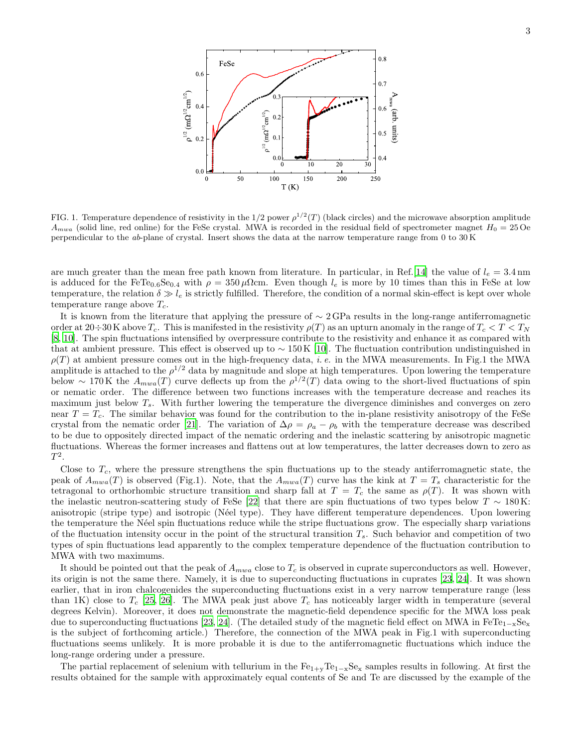

FIG. 1. Temperature dependence of resistivity in the 1/2 power  $\rho^{1/2}(T)$  (black circles) and the microwave absorption amplitude  $A_{mwa}$  (solid line, red online) for the FeSe crystal. MWA is recorded in the residual field of spectrometer magnet  $H_0 = 25$  Oe perpendicular to the ab-plane of crystal. Insert shows the data at the narrow temperature range from 0 to 30 K

are much greater than the mean free path known from literature. In particular, in Ref.[\[14\]](#page-5-13) the value of  $l_e = 3.4$  nm is adduced for the FeTe<sub>0.6</sub>Se<sub>0.4</sub> with  $\rho = 350 \,\mu\Omega$ cm. Even though  $l_e$  is more by 10 times than this in FeSe at low temperature, the relation  $\delta \gg l_e$  is strictly fulfilled. Therefore, the condition of a normal skin-effect is kept over whole temperature range above  $T_c$ .

It is known from the literature that applying the pressure of  $\sim$  2 GPa results in the long-range antiferromagnetic order at  $20\div 30$  K above  $T_c$ . This is manifested in the resistivity  $\rho(T)$  as an upturn anomaly in the range of  $T_c < T < T_N$ [\[8,](#page-5-9) [10\]](#page-5-8). The spin fluctuations intensified by overpressure contribute to the resistivity and enhance it as compared with that at ambient pressure. This effect is observed up to  $\sim 150 \text{ K}$  [\[10](#page-5-8)]. The fluctuation contribution undistinguished in  $\rho(T)$  at ambient pressure comes out in the high-frequency data, *i.e.* in the MWA measurements. In Fig.1 the MWA amplitude is attached to the  $\rho^{1/2}$  data by magnitude and slope at high temperatures. Upon lowering the temperature below ~ 170 K the  $A_{mwa}(T)$  curve deflects up from the  $\rho^{1/2}(T)$  data owing to the short-lived fluctuations of spin or nematic order. The difference between two functions increases with the temperature decrease and reaches its maximum just below  $T_s$ . With further lowering the temperature the divergence diminishes and converges on zero near  $T = T_c$ . The similar behavior was found for the contribution to the in-plane resistivity anisotropy of the FeSe crystal from the nematic order [\[21\]](#page-5-20). The variation of  $\Delta \rho = \rho_a - \rho_b$  with the temperature decrease was described to be due to oppositely directed impact of the nematic ordering and the inelastic scattering by anisotropic magnetic fluctuations. Whereas the former increases and flattens out at low temperatures, the latter decreases down to zero as  $T^2$ .

Close to  $T_c$ , where the pressure strengthens the spin fluctuations up to the steady antiferromagnetic state, the peak of  $A_{mwa}(T)$  is observed (Fig.1). Note, that the  $A_{mwa}(T)$  curve has the kink at  $T = T_s$  characteristic for the tetragonal to orthorhombic structure transition and sharp fall at  $T = T_c$  the same as  $\rho(T)$ . It was shown with the inelastic neutron-scattering study of FeSe [\[22](#page-5-21)] that there are spin fluctuations of two types below  $T \sim 180 \text{ K}$ : anisotropic (stripe type) and isotropic (Néel type). They have different temperature dependences. Upon lowering the temperature the N´eel spin fluctuations reduce while the stripe fluctuations grow. The especially sharp variations of the fluctuation intensity occur in the point of the structural transition  $T_s$ . Such behavior and competition of two types of spin fluctuations lead apparently to the complex temperature dependence of the fluctuation contribution to MWA with two maximums.

It should be pointed out that the peak of  $A_{mwa}$  close to  $T_c$  is observed in cuprate superconductors as well. However, its origin is not the same there. Namely, it is due to superconducting fluctuations in cuprates [\[23,](#page-5-22) [24\]](#page-5-23). It was shown earlier, that in iron chalcogenides the superconducting fluctuations exist in a very narrow temperature range (less than 1K) close to  $T_c$  [\[25,](#page-5-24) [26\]](#page-5-25). The MWA peak just above  $T_c$  has noticeably larger width in temperature (several degrees Kelvin). Moreover, it does not demonstrate the magnetic-field dependence specific for the MWA loss peak due to superconducting fluctuations [\[23,](#page-5-22) [24\]](#page-5-23). (The detailed study of the magnetic field effect on MWA in  $FeTe_{1-x}Se_x$ is the subject of forthcoming article.) Therefore, the connection of the MWA peak in Fig.1 with superconducting fluctuations seems unlikely. It is more probable it is due to the antiferromagnetic fluctuations which induce the long-range ordering under a pressure.

The partial replacement of selenium with tellurium in the  $Fe_{1+y}Te_{1-x}Se_x$  samples results in following. At first the results obtained for the sample with approximately equal contents of Se and Te are discussed by the example of the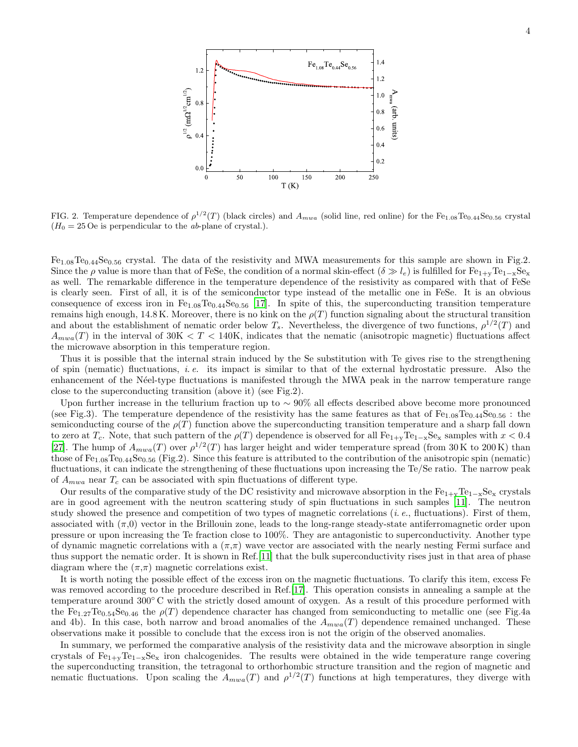

FIG. 2. Temperature dependence of  $\rho^{1/2}(T)$  (black circles) and  $A_{mwa}$  (solid line, red online) for the Fe<sub>1.08</sub>Te<sub>0.44</sub>Se<sub>0.56</sub> crystal  $(H_0 = 25 \text{ Oe}$  is perpendicular to the *ab*-plane of crystal.).

Fe<sub>1.08</sub>Te<sub>0.44</sub>Se<sub>0.56</sub> crystal. The data of the resistivity and MWA measurements for this sample are shown in Fig.2. Since the ρ value is more than that of FeSe, the condition of a normal skin-effect  $(\delta \gg l_e)$  is fulfilled for  $Fe_{1+x}Fe_{1-x}Se_x$ as well. The remarkable difference in the temperature dependence of the resistivity as compared with that of FeSe is clearly seen. First of all, it is of the semiconductor type instead of the metallic one in FeSe. It is an obvious consequence of excess iron in  $Fe_{1.08}Te_{0.44}Se_{0.56}$  [\[17\]](#page-5-16). In spite of this, the superconducting transition temperature remains high enough, 14.8 K. Moreover, there is no kink on the  $\rho(T)$  function signaling about the structural transition and about the establishment of nematic order below  $T_s$ . Nevertheless, the divergence of two functions,  $\rho^{1/2}(T)$  and  $A_{mwa}(T)$  in the interval of  $30K < T < 140K$ , indicates that the nematic (anisotropic magnetic) fluctuations affect the microwave absorption in this temperature region.

Thus it is possible that the internal strain induced by the Se substitution with Te gives rise to the strengthening of spin (nematic) fluctuations, i. e. its impact is similar to that of the external hydrostatic pressure. Also the enhancement of the N´eel-type fluctuations is manifested through the MWA peak in the narrow temperature range close to the superconducting transition (above it) (see Fig.2).

Upon further increase in the tellurium fraction up to ∼ 90% all effects described above become more pronounced (see Fig.3). The temperature dependence of the resistivity has the same features as that of  $Fe_{1.08}Te_{0.44}Se_{0.56}$ : the semiconducting course of the  $\rho(T)$  function above the superconducting transition temperature and a sharp fall down to zero at  $T_c$ . Note, that such pattern of the  $\rho(T)$  dependence is observed for all  $Fe_{1+y}Te_{1-x}Se_x$  samples with  $x < 0.4$ [\[27\]](#page-5-26). The hump of  $A_{mwa}(T)$  over  $\rho^{1/2}(T)$  has larger height and wider temperature spread (from 30K to 200K) than those of  $Fe_{1.08}Te_{0.44}Se_{0.56}$  (Fig.2). Since this feature is attributed to the contribution of the anisotropic spin (nematic) fluctuations, it can indicate the strengthening of these fluctuations upon increasing the Te/Se ratio. The narrow peak of  $A_{mwa}$  near  $T_c$  can be associated with spin fluctuations of different type.

Our results of the comparative study of the DC resistivity and microwave absorption in the  $Fe_{1+x}Te_{1-x}Se_x$  crystals are in good agreement with the neutron scattering study of spin fluctuations in such samples [\[11](#page-5-10)]. The neutron study showed the presence and competition of two types of magnetic correlations  $(i. e.,$  fluctuations). First of them, associated with  $(\pi,0)$  vector in the Brillouin zone, leads to the long-range steady-state antiferromagnetic order upon pressure or upon increasing the Te fraction close to 100%. They are antagonistic to superconductivity. Another type of dynamic magnetic correlations with a  $(\pi,\pi)$  wave vector are associated with the nearly nesting Fermi surface and thus support the nematic order. It is shown in Ref.[\[11\]](#page-5-10) that the bulk superconductivity rises just in that area of phase diagram where the  $(\pi,\pi)$  magnetic correlations exist.

It is worth noting the possible effect of the excess iron on the magnetic fluctuations. To clarify this item, excess Fe was removed according to the procedure described in Ref.[\[17](#page-5-16)]. This operation consists in annealing a sample at the temperature around 300◦ C with the strictly dosed amount of oxygen. As a result of this procedure performed with the Fe<sub>1.27</sub>Te<sub>0.54</sub>Se<sub>0.46</sub> the  $\rho(T)$  dependence character has changed from semiconducting to metallic one (see Fig.4a) and 4b). In this case, both narrow and broad anomalies of the  $A_{mwa}(T)$  dependence remained unchanged. These observations make it possible to conclude that the excess iron is not the origin of the observed anomalies.

In summary, we performed the comparative analysis of the resistivity data and the microwave absorption in single crystals of  $Fe_{1+x}Te_{1-x}Se_x$  iron chalcogenides. The results were obtained in the wide temperature range covering the superconducting transition, the tetragonal to orthorhombic structure transition and the region of magnetic and nematic fluctuations. Upon scaling the  $A_{mwa}(T)$  and  $\rho^{1/2}(T)$  functions at high temperatures, they diverge with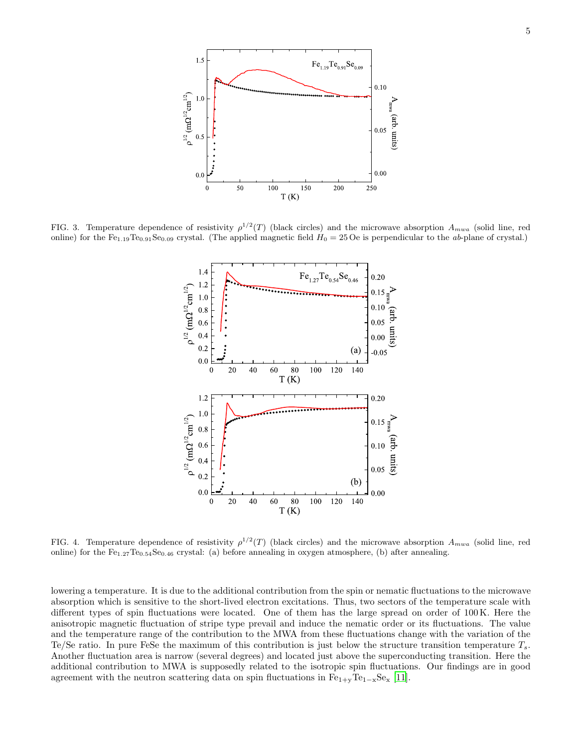

FIG. 3. Temperature dependence of resistivity  $\rho^{1/2}(T)$  (black circles) and the microwave absorption  $A_{mwa}$  (solid line, red online) for the Fe<sub>1.19</sub>Te<sub>0.91</sub>Se<sub>0.09</sub> crystal. (The applied magnetic field  $H_0 = 25$  Oe is perpendicular to the ab-plane of crystal.)



FIG. 4. Temperature dependence of resistivity  $\rho^{1/2}(T)$  (black circles) and the microwave absorption  $A_{mwa}$  (solid line, red online) for the  $Fe_{1.27}Te_{0.54}Se_{0.46}$  crystal: (a) before annealing in oxygen atmosphere, (b) after annealing.

lowering a temperature. It is due to the additional contribution from the spin or nematic fluctuations to the microwave absorption which is sensitive to the short-lived electron excitations. Thus, two sectors of the temperature scale with different types of spin fluctuations were located. One of them has the large spread on order of 100 K. Here the anisotropic magnetic fluctuation of stripe type prevail and induce the nematic order or its fluctuations. The value and the temperature range of the contribution to the MWA from these fluctuations change with the variation of the Te/Se ratio. In pure FeSe the maximum of this contribution is just below the structure transition temperature  $T_s$ . Another fluctuation area is narrow (several degrees) and located just above the superconducting transition. Here the additional contribution to MWA is supposedly related to the isotropic spin fluctuations. Our findings are in good agreement with the neutron scattering data on spin fluctuations in  $Fe_{1+y}Te_{1-x}Se_x$  [\[11\]](#page-5-10).